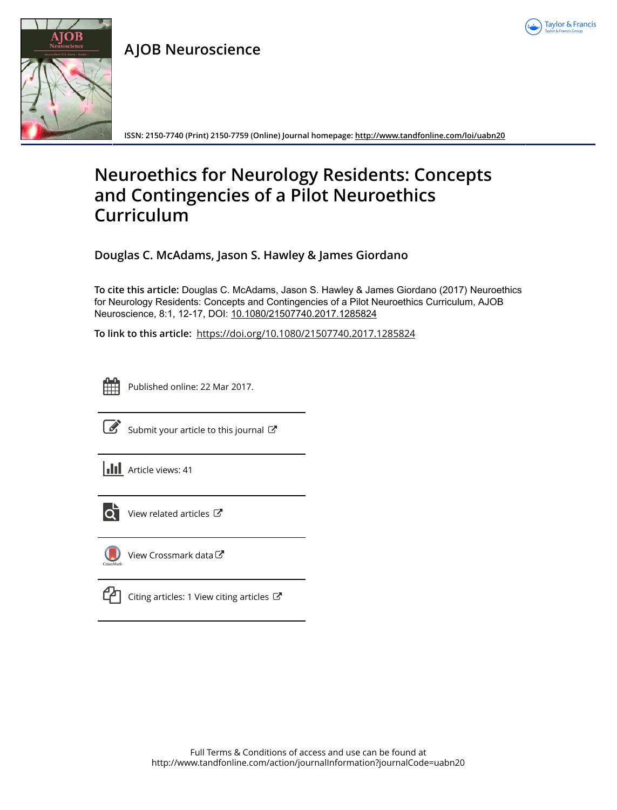

## **AJOB Neuroscience**



**ISSN: 2150-7740 (Print) 2150-7759 (Online) Journal homepage:<http://www.tandfonline.com/loi/uabn20>**

## **Neuroethics for Neurology Residents: Concepts and Contingencies of a Pilot Neuroethics Curriculum**

**Douglas C. McAdams, Jason S. Hawley & James Giordano**

**To cite this article:** Douglas C. McAdams, Jason S. Hawley & James Giordano (2017) Neuroethics for Neurology Residents: Concepts and Contingencies of a Pilot Neuroethics Curriculum, AJOB Neuroscience, 8:1, 12-17, DOI: [10.1080/21507740.2017.1285824](http://www.tandfonline.com/action/showCitFormats?doi=10.1080/21507740.2017.1285824)

**To link to this article:** <https://doi.org/10.1080/21507740.2017.1285824>



Published online: 22 Mar 2017.



 $\overrightarrow{S}$  [Submit your article to this journal](http://www.tandfonline.com/action/authorSubmission?journalCode=uabn20&show=instructions)  $\overrightarrow{S}$ 





 $\overline{Q}$  [View related articles](http://www.tandfonline.com/doi/mlt/10.1080/21507740.2017.1285824)  $\overline{C}$ 



[View Crossmark data](http://crossmark.crossref.org/dialog/?doi=10.1080/21507740.2017.1285824&domain=pdf&date_stamp=2017-03-22)

 $\Box$  [Citing articles: 1 View citing articles](http://www.tandfonline.com/doi/citedby/10.1080/21507740.2017.1285824#tabModule)  $\Box$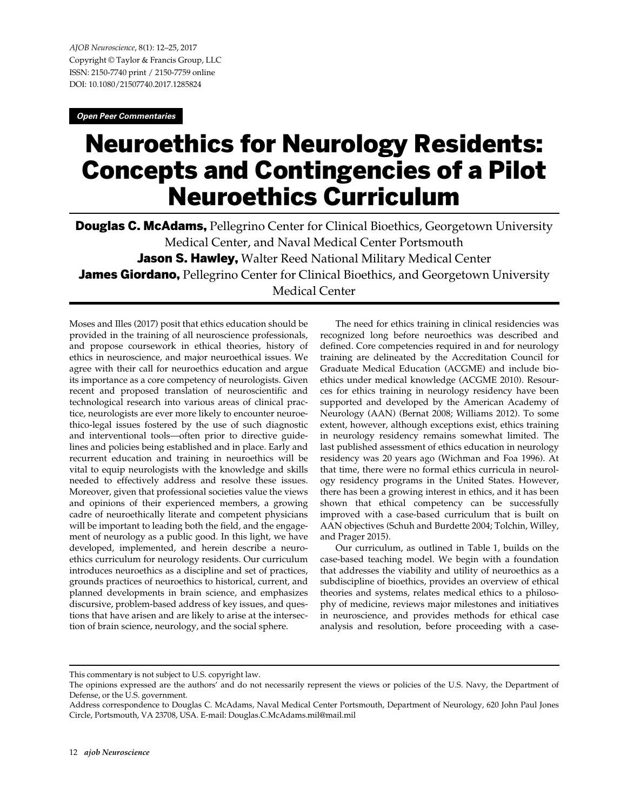Open Peer Commentaries

# Neuroethics for Neurology Residents: Concepts and Contingencies of a Pilot Neuroethics Curriculum

**Douglas C. McAdams, Pellegrino Center for Clinical Bioethics, Georgetown University** Medical Center, and Naval Medical Center Portsmouth Jason S. Hawley, Walter Reed National Military Medical Center **James Giordano,** Pellegrino Center for Clinical Bioethics, and Georgetown University Medical Center

Moses and Illes (2017) posit that ethics education should be provided in the training of all neuroscience professionals, and propose coursework in ethical theories, history of ethics in neuroscience, and major neuroethical issues. We agree with their call for neuroethics education and argue its importance as a core competency of neurologists. Given recent and proposed translation of neuroscientific and technological research into various areas of clinical practice, neurologists are ever more likely to encounter neuroethico-legal issues fostered by the use of such diagnostic and interventional tools—often prior to directive guidelines and policies being established and in place. Early and recurrent education and training in neuroethics will be vital to equip neurologists with the knowledge and skills needed to effectively address and resolve these issues. Moreover, given that professional societies value the views and opinions of their experienced members, a growing cadre of neuroethically literate and competent physicians will be important to leading both the field, and the engagement of neurology as a public good. In this light, we have developed, implemented, and herein describe a neuroethics curriculum for neurology residents. Our curriculum introduces neuroethics as a discipline and set of practices, grounds practices of neuroethics to historical, current, and planned developments in brain science, and emphasizes discursive, problem-based address of key issues, and questions that have arisen and are likely to arise at the intersection of brain science, neurology, and the social sphere.

The need for ethics training in clinical residencies was recognized long before neuroethics was described and defined. Core competencies required in and for neurology training are delineated by the Accreditation Council for Graduate Medical Education (ACGME) and include bioethics under medical knowledge (ACGME 2010). Resources for ethics training in neurology residency have been supported and developed by the American Academy of Neurology (AAN) (Bernat 2008; Williams 2012). To some extent, however, although exceptions exist, ethics training in neurology residency remains somewhat limited. The last published assessment of ethics education in neurology residency was 20 years ago (Wichman and Foa 1996). At that time, there were no formal ethics curricula in neurology residency programs in the United States. However, there has been a growing interest in ethics, and it has been shown that ethical competency can be successfully improved with a case-based curriculum that is built on AAN objectives (Schuh and Burdette 2004; Tolchin, Willey, and Prager 2015).

Our curriculum, as outlined in Table 1, builds on the case-based teaching model. We begin with a foundation that addresses the viability and utility of neuroethics as a subdiscipline of bioethics, provides an overview of ethical theories and systems, relates medical ethics to a philosophy of medicine, reviews major milestones and initiatives in neuroscience, and provides methods for ethical case analysis and resolution, before proceeding with a case-

This commentary is not subject to U.S. copyright law.

The opinions expressed are the authors' and do not necessarily represent the views or policies of the U.S. Navy, the Department of Defense, or the U.S. government.

Address correspondence to Douglas C. McAdams, Naval Medical Center Portsmouth, Department of Neurology, 620 John Paul Jones Circle, Portsmouth, VA 23708, USA. E-mail: Douglas.C.McAdams.mil@mail.mil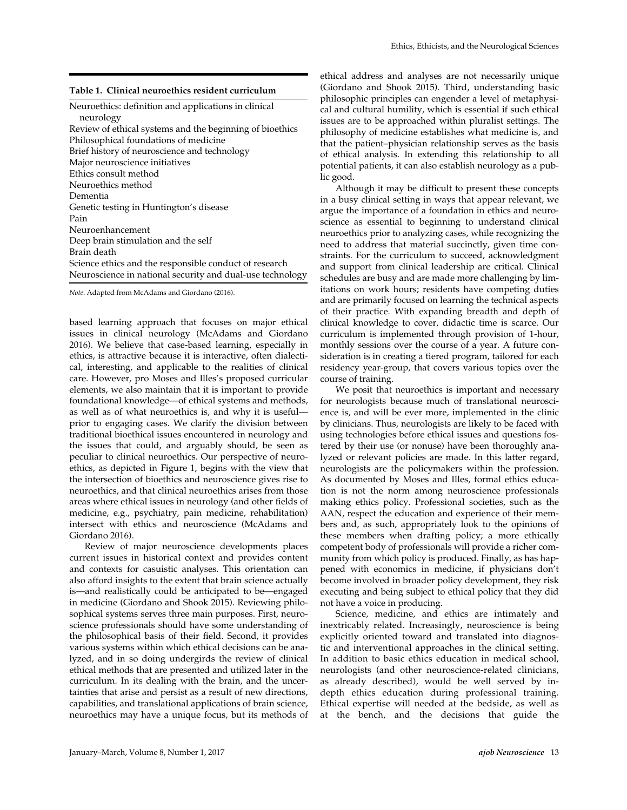### Table 1. Clinical neuroethics resident curriculum

| Neuroethics: definition and applications in clinical      |
|-----------------------------------------------------------|
| neurology                                                 |
| Review of ethical systems and the beginning of bioethics  |
| Philosophical foundations of medicine                     |
| Brief history of neuroscience and technology              |
| Major neuroscience initiatives                            |
| Ethics consult method                                     |
| Neuroethics method                                        |
| Dementia                                                  |
| Genetic testing in Huntington's disease                   |
| Pain                                                      |
| Neuroenhancement                                          |
| Deep brain stimulation and the self                       |
| Brain death                                               |
| Science ethics and the responsible conduct of research    |
| Neuroscience in national security and dual-use technology |

Note. Adapted from McAdams and Giordano (2016).

based learning approach that focuses on major ethical issues in clinical neurology (McAdams and Giordano 2016). We believe that case-based learning, especially in ethics, is attractive because it is interactive, often dialectical, interesting, and applicable to the realities of clinical care. However, pro Moses and Illes's proposed curricular elements, we also maintain that it is important to provide foundational knowledge—of ethical systems and methods, as well as of what neuroethics is, and why it is useful prior to engaging cases. We clarify the division between traditional bioethical issues encountered in neurology and the issues that could, and arguably should, be seen as peculiar to clinical neuroethics. Our perspective of neuroethics, as depicted in Figure 1, begins with the view that the intersection of bioethics and neuroscience gives rise to neuroethics, and that clinical neuroethics arises from those areas where ethical issues in neurology (and other fields of medicine, e.g., psychiatry, pain medicine, rehabilitation) intersect with ethics and neuroscience (McAdams and Giordano 2016).

Review of major neuroscience developments places current issues in historical context and provides content and contexts for casuistic analyses. This orientation can also afford insights to the extent that brain science actually is—and realistically could be anticipated to be—engaged in medicine (Giordano and Shook 2015). Reviewing philosophical systems serves three main purposes. First, neuroscience professionals should have some understanding of the philosophical basis of their field. Second, it provides various systems within which ethical decisions can be analyzed, and in so doing undergirds the review of clinical ethical methods that are presented and utilized later in the curriculum. In its dealing with the brain, and the uncertainties that arise and persist as a result of new directions, capabilities, and translational applications of brain science, neuroethics may have a unique focus, but its methods of ethical address and analyses are not necessarily unique (Giordano and Shook 2015). Third, understanding basic philosophic principles can engender a level of metaphysical and cultural humility, which is essential if such ethical issues are to be approached within pluralist settings. The philosophy of medicine establishes what medicine is, and that the patient–physician relationship serves as the basis of ethical analysis. In extending this relationship to all potential patients, it can also establish neurology as a public good.

Although it may be difficult to present these concepts in a busy clinical setting in ways that appear relevant, we argue the importance of a foundation in ethics and neuroscience as essential to beginning to understand clinical neuroethics prior to analyzing cases, while recognizing the need to address that material succinctly, given time constraints. For the curriculum to succeed, acknowledgment and support from clinical leadership are critical. Clinical schedules are busy and are made more challenging by limitations on work hours; residents have competing duties and are primarily focused on learning the technical aspects of their practice. With expanding breadth and depth of clinical knowledge to cover, didactic time is scarce. Our curriculum is implemented through provision of 1-hour, monthly sessions over the course of a year. A future consideration is in creating a tiered program, tailored for each residency year-group, that covers various topics over the course of training.

We posit that neuroethics is important and necessary for neurologists because much of translational neuroscience is, and will be ever more, implemented in the clinic by clinicians. Thus, neurologists are likely to be faced with using technologies before ethical issues and questions fostered by their use (or nonuse) have been thoroughly analyzed or relevant policies are made. In this latter regard, neurologists are the policymakers within the profession. As documented by Moses and Illes, formal ethics education is not the norm among neuroscience professionals making ethics policy. Professional societies, such as the AAN, respect the education and experience of their members and, as such, appropriately look to the opinions of these members when drafting policy; a more ethically competent body of professionals will provide a richer community from which policy is produced. Finally, as has happened with economics in medicine, if physicians don't become involved in broader policy development, they risk executing and being subject to ethical policy that they did not have a voice in producing.

Science, medicine, and ethics are intimately and inextricably related. Increasingly, neuroscience is being explicitly oriented toward and translated into diagnostic and interventional approaches in the clinical setting. In addition to basic ethics education in medical school, neurologists (and other neuroscience-related clinicians, as already described), would be well served by indepth ethics education during professional training. Ethical expertise will needed at the bedside, as well as at the bench, and the decisions that guide the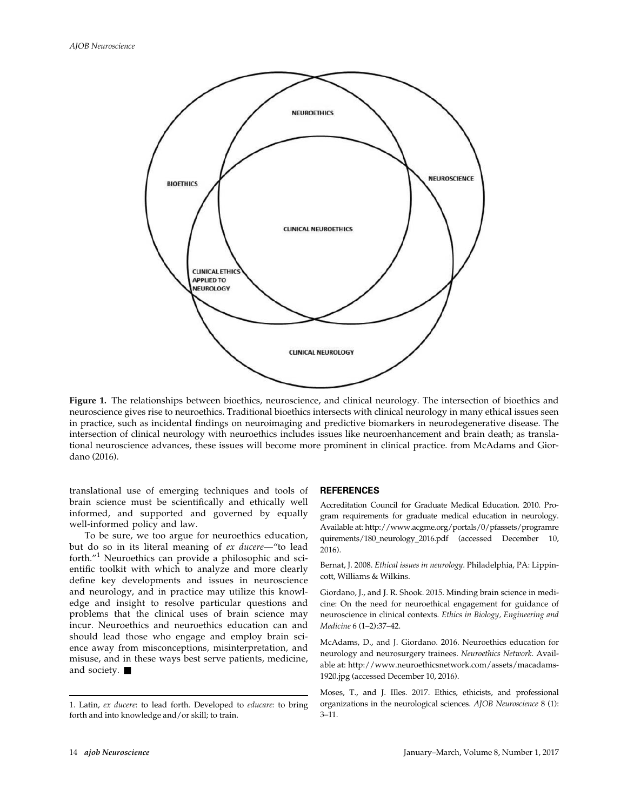

Figure 1. The relationships between bioethics, neuroscience, and clinical neurology. The intersection of bioethics and neuroscience gives rise to neuroethics. Traditional bioethics intersects with clinical neurology in many ethical issues seen in practice, such as incidental findings on neuroimaging and predictive biomarkers in neurodegenerative disease. The intersection of clinical neurology with neuroethics includes issues like neuroenhancement and brain death; as translational neuroscience advances, these issues will become more prominent in clinical practice. from McAdams and Giordano (2016).

translational use of emerging techniques and tools of brain science must be scientifically and ethically well informed, and supported and governed by equally well-informed policy and law.

To be sure, we too argue for neuroethics education, but do so in its literal meaning of ex ducere—"to lead forth."<sup>1</sup> Neuroethics can provide a philosophic and scientific toolkit with which to analyze and more clearly define key developments and issues in neuroscience and neurology, and in practice may utilize this knowledge and insight to resolve particular questions and problems that the clinical uses of brain science may incur. Neuroethics and neuroethics education can and should lead those who engage and employ brain science away from misconceptions, misinterpretation, and misuse, and in these ways best serve patients, medicine, and society.  $\blacksquare$ 

................<br>Accreditation Council for Graduate Medical Education. 2010. Program requirements for graduate medical education in neurology. Available at: [http://www.acgme.org/portals/0/pfassets/programre](http://www.acgme.org/portals/0/pfassets/programrequirements/180_neurology_2016.pdf) [quirements/180\\_neurology\\_2016.pdf](http://www.acgme.org/portals/0/pfassets/programrequirements/180_neurology_2016.pdf) (accessed December 10, 2016).

Bernat, J. 2008. Ethical issues in neurology. Philadelphia, PA: Lippincott, Williams & Wilkins.

Giordano, J., and J. R. Shook. 2015. Minding brain science in medicine: On the need for neuroethical engagement for guidance of neuroscience in clinical contexts. Ethics in Biology, Engineering and Medicine 6 (1–2):37–42.

McAdams, D., and J. Giordano. 2016. Neuroethics education for neurology and neurosurgery trainees. Neuroethics Network. Available at: [http://www.neuroethicsnetwork.com/assets/macadams-](http://www.neuroethicsnetwork.com/assets/macadams-1920.jpg)[1920.jpg](http://www.neuroethicsnetwork.com/assets/macadams-1920.jpg) (accessed December 10, 2016).

Moses, T., and J. IIles. 2017. Ethics, ethicists, and professional organizations in the neurological sciences. AJOB Neuroscience 8 (1): 3–11.

<sup>1.</sup> Latin, ex ducere: to lead forth. Developed to educare: to bring forth and into knowledge and/or skill; to train.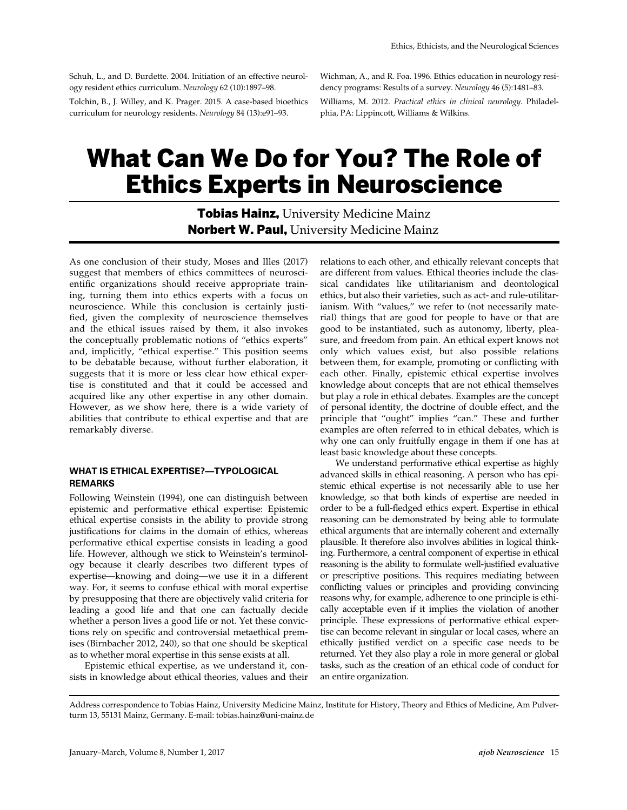Schuh, L., and D. Burdette. 2004. Initiation of an effective neurology resident ethics curriculum. Neurology 62 (10):1897–98.

Wichman, A., and R. Foa. 1996. Ethics education in neurology residency programs: Results of a survey. Neurology 46 (5):1481–83.

Tolchin, B., J. Willey, and K. Prager. 2015. A case-based bioethics curriculum for neurology residents. Neurology 84 (13):e91–93.

Williams, M. 2012. Practical ethics in clinical neurology. Philadelphia, PA: Lippincott, Williams & Wilkins.

# What Can We Do for You? The Role of Ethics Experts in Neuroscience

**Tobias Hainz, University Medicine Mainz Norbert W. Paul, University Medicine Mainz** 

As one conclusion of their study, Moses and Illes (2017) suggest that members of ethics committees of neuroscientific organizations should receive appropriate training, turning them into ethics experts with a focus on neuroscience. While this conclusion is certainly justified, given the complexity of neuroscience themselves and the ethical issues raised by them, it also invokes the conceptually problematic notions of "ethics experts" and, implicitly, "ethical expertise." This position seems to be debatable because, without further elaboration, it suggests that it is more or less clear how ethical expertise is constituted and that it could be accessed and acquired like any other expertise in any other domain. However, as we show here, there is a wide variety of abilities that contribute to ethical expertise and that are remarkably diverse.

### **WHAT IS ETHICAL EXPERTISE?-TYPOLOGICAL REMARKS**

..............<br>Following Weinstein (1994), one can distinguish between epistemic and performative ethical expertise: Epistemic ethical expertise consists in the ability to provide strong justifications for claims in the domain of ethics, whereas performative ethical expertise consists in leading a good life. However, although we stick to Weinstein's terminology because it clearly describes two different types of expertise—knowing and doing—we use it in a different way. For, it seems to confuse ethical with moral expertise by presupposing that there are objectively valid criteria for leading a good life and that one can factually decide whether a person lives a good life or not. Yet these convictions rely on specific and controversial metaethical premises (Birnbacher 2012, 240), so that one should be skeptical as to whether moral expertise in this sense exists at all.

Epistemic ethical expertise, as we understand it, consists in knowledge about ethical theories, values and their relations to each other, and ethically relevant concepts that are different from values. Ethical theories include the classical candidates like utilitarianism and deontological ethics, but also their varieties, such as act- and rule-utilitarianism. With "values," we refer to (not necessarily material) things that are good for people to have or that are good to be instantiated, such as autonomy, liberty, pleasure, and freedom from pain. An ethical expert knows not only which values exist, but also possible relations between them, for example, promoting or conflicting with each other. Finally, epistemic ethical expertise involves knowledge about concepts that are not ethical themselves but play a role in ethical debates. Examples are the concept of personal identity, the doctrine of double effect, and the principle that "ought" implies "can." These and further examples are often referred to in ethical debates, which is why one can only fruitfully engage in them if one has at least basic knowledge about these concepts.

We understand performative ethical expertise as highly advanced skills in ethical reasoning. A person who has epistemic ethical expertise is not necessarily able to use her knowledge, so that both kinds of expertise are needed in order to be a full-fledged ethics expert. Expertise in ethical reasoning can be demonstrated by being able to formulate ethical arguments that are internally coherent and externally plausible. It therefore also involves abilities in logical thinking. Furthermore, a central component of expertise in ethical reasoning is the ability to formulate well-justified evaluative or prescriptive positions. This requires mediating between conflicting values or principles and providing convincing reasons why, for example, adherence to one principle is ethically acceptable even if it implies the violation of another principle. These expressions of performative ethical expertise can become relevant in singular or local cases, where an ethically justified verdict on a specific case needs to be returned. Yet they also play a role in more general or global tasks, such as the creation of an ethical code of conduct for an entire organization.

Address correspondence to Tobias Hainz, University Medicine Mainz, Institute for History, Theory and Ethics of Medicine, Am Pulverturm 13, 55131 Mainz, Germany. E-mail: tobias.hainz@uni-mainz.de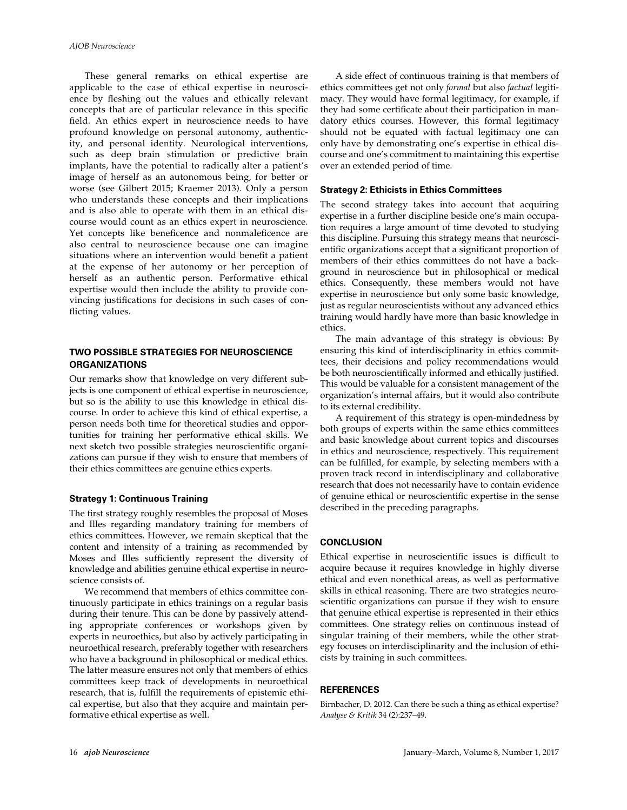These general remarks on ethical expertise are applicable to the case of ethical expertise in neuroscience by fleshing out the values and ethically relevant concepts that are of particular relevance in this specific field. An ethics expert in neuroscience needs to have profound knowledge on personal autonomy, authenticity, and personal identity. Neurological interventions, such as deep brain stimulation or predictive brain implants, have the potential to radically alter a patient's image of herself as an autonomous being, for better or worse (see Gilbert 2015; Kraemer 2013). Only a person who understands these concepts and their implications and is also able to operate with them in an ethical discourse would count as an ethics expert in neuroscience. Yet concepts like beneficence and nonmaleficence are also central to neuroscience because one can imagine situations where an intervention would benefit a patient at the expense of her autonomy or her perception of herself as an authentic person. Performative ethical expertise would then include the ability to provide convincing justifications for decisions in such cases of conflicting values.

## TWO POSSIBLE STRATEGIES FOR NEUROSCIENCE<br>ORGANIZATIONS

Our remarks show that knowledge on very different subjects is one component of ethical expertise in neuroscience, but so is the ability to use this knowledge in ethical discourse. In order to achieve this kind of ethical expertise, a person needs both time for theoretical studies and opportunities for training her performative ethical skills. We next sketch two possible strategies neuroscientific organizations can pursue if they wish to ensure that members of their ethics committees are genuine ethics experts.

The first strategy roughly resembles the proposal of Moses and Illes regarding mandatory training for members of ethics committees. However, we remain skeptical that the content and intensity of a training as recommended by Moses and Illes sufficiently represent the diversity of knowledge and abilities genuine ethical expertise in neuroscience consists of.

We recommend that members of ethics committee continuously participate in ethics trainings on a regular basis during their tenure. This can be done by passively attending appropriate conferences or workshops given by experts in neuroethics, but also by actively participating in neuroethical research, preferably together with researchers who have a background in philosophical or medical ethics. The latter measure ensures not only that members of ethics committees keep track of developments in neuroethical research, that is, fulfill the requirements of epistemic ethical expertise, but also that they acquire and maintain performative ethical expertise as well.

A side effect of continuous training is that members of ethics committees get not only formal but also factual legitimacy. They would have formal legitimacy, for example, if they had some certificate about their participation in mandatory ethics courses. However, this formal legitimacy should not be equated with factual legitimacy one can only have by demonstrating one's expertise in ethical discourse and one's commitment to maintaining this expertise over an extended period of time.

Strategy 2: Ethicists in Ethics Committees The second strategy takes into account that acquiring expertise in a further discipline beside one's main occupation requires a large amount of time devoted to studying this discipline. Pursuing this strategy means that neuroscientific organizations accept that a significant proportion of members of their ethics committees do not have a background in neuroscience but in philosophical or medical ethics. Consequently, these members would not have expertise in neuroscience but only some basic knowledge, just as regular neuroscientists without any advanced ethics training would hardly have more than basic knowledge in ethics.

The main advantage of this strategy is obvious: By ensuring this kind of interdisciplinarity in ethics committees, their decisions and policy recommendations would be both neuroscientifically informed and ethically justified. This would be valuable for a consistent management of the organization's internal affairs, but it would also contribute to its external credibility.

A requirement of this strategy is open-mindedness by both groups of experts within the same ethics committees and basic knowledge about current topics and discourses in ethics and neuroscience, respectively. This requirement can be fulfilled, for example, by selecting members with a proven track record in interdisciplinary and collaborative research that does not necessarily have to contain evidence of genuine ethical or neuroscientific expertise in the sense described in the preceding paragraphs.

### **CONCLUSION**

**Ethical expertise in neuroscientific issues is difficult to** acquire because it requires knowledge in highly diverse ethical and even nonethical areas, as well as performative skills in ethical reasoning. There are two strategies neuroscientific organizations can pursue if they wish to ensure that genuine ethical expertise is represented in their ethics committees. One strategy relies on continuous instead of singular training of their members, while the other strategy focuses on interdisciplinarity and the inclusion of ethicists by training in such committees.

.<br>Birnbacher, D. 2012. Can there be such a thing as ethical expertise? Analyse & Kritik 34 (2):237–49.